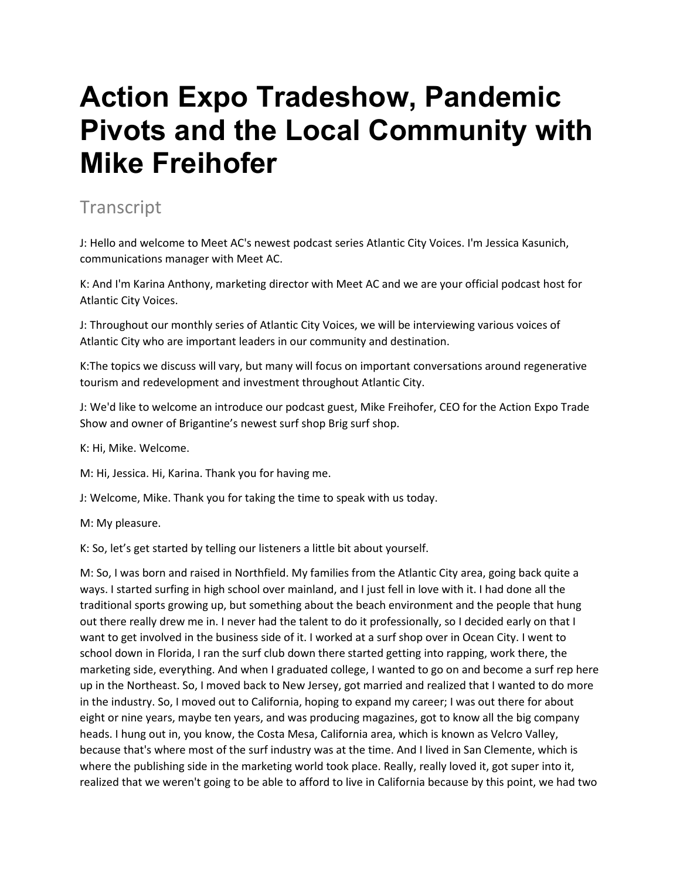## **Action Expo Tradeshow, Pandemic Pivots and the Local Community with Mike Freihofer**

## **Transcript**

J: Hello and welcome to Meet AC's newest podcast series Atlantic City Voices. I'm Jessica Kasunich, communications manager with Meet AC.

K: And I'm Karina Anthony, marketing director with Meet AC and we are your official podcast host for Atlantic City Voices.

J: Throughout our monthly series of Atlantic City Voices, we will be interviewing various voices of Atlantic City who are important leaders in our community and destination.

K:The topics we discuss will vary, but many will focus on important conversations around regenerative tourism and redevelopment and investment throughout Atlantic City.

J: We'd like to welcome an introduce our podcast guest, Mike Freihofer, CEO for the Action Expo Trade Show and owner of Brigantine's newest surf shop Brig surf shop.

K: Hi, Mike. Welcome.

M: Hi, Jessica. Hi, Karina. Thank you for having me.

J: Welcome, Mike. Thank you for taking the time to speak with us today.

M: My pleasure.

K: So, let's get started by telling our listeners a little bit about yourself.

M: So, I was born and raised in Northfield. My families from the Atlantic City area, going back quite a ways. I started surfing in high school over mainland, and I just fell in love with it. I had done all the traditional sports growing up, but something about the beach environment and the people that hung out there really drew me in. I never had the talent to do it professionally, so I decided early on that I want to get involved in the business side of it. I worked at a surf shop over in Ocean City. I went to school down in Florida, I ran the surf club down there started getting into rapping, work there, the marketing side, everything. And when I graduated college, I wanted to go on and become a surf rep here up in the Northeast. So, I moved back to New Jersey, got married and realized that I wanted to do more in the industry. So, I moved out to California, hoping to expand my career; I was out there for about eight or nine years, maybe ten years, and was producing magazines, got to know all the big company heads. I hung out in, you know, the Costa Mesa, California area, which is known as Velcro Valley, because that's where most of the surf industry was at the time. And I lived in San Clemente, which is where the publishing side in the marketing world took place. Really, really loved it, got super into it, realized that we weren't going to be able to afford to live in California because by this point, we had two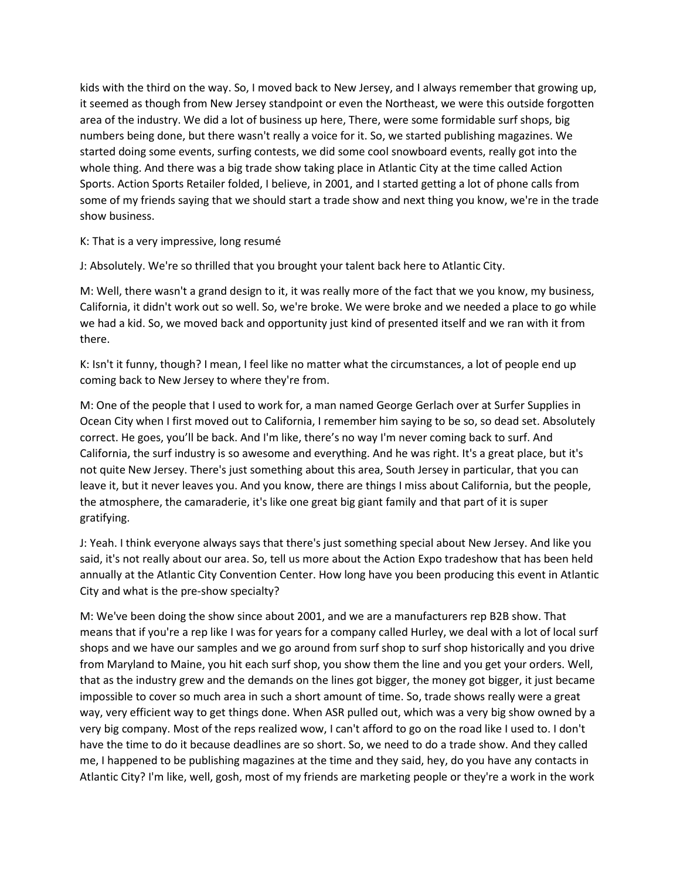kids with the third on the way. So, I moved back to New Jersey, and I always remember that growing up, it seemed as though from New Jersey standpoint or even the Northeast, we were this outside forgotten area of the industry. We did a lot of business up here, There, were some formidable surf shops, big numbers being done, but there wasn't really a voice for it. So, we started publishing magazines. We started doing some events, surfing contests, we did some cool snowboard events, really got into the whole thing. And there was a big trade show taking place in Atlantic City at the time called Action Sports. Action Sports Retailer folded, I believe, in 2001, and I started getting a lot of phone calls from some of my friends saying that we should start a trade show and next thing you know, we're in the trade show business.

K: That is a very impressive, long resumé

J: Absolutely. We're so thrilled that you brought your talent back here to Atlantic City.

M: Well, there wasn't a grand design to it, it was really more of the fact that we you know, my business, California, it didn't work out so well. So, we're broke. We were broke and we needed a place to go while we had a kid. So, we moved back and opportunity just kind of presented itself and we ran with it from there.

K: Isn't it funny, though? I mean, I feel like no matter what the circumstances, a lot of people end up coming back to New Jersey to where they're from.

M: One of the people that I used to work for, a man named George Gerlach over at Surfer Supplies in Ocean City when I first moved out to California, I remember him saying to be so, so dead set. Absolutely correct. He goes, you'll be back. And I'm like, there's no way I'm never coming back to surf. And California, the surf industry is so awesome and everything. And he was right. It's a great place, but it's not quite New Jersey. There's just something about this area, South Jersey in particular, that you can leave it, but it never leaves you. And you know, there are things I miss about California, but the people, the atmosphere, the camaraderie, it's like one great big giant family and that part of it is super gratifying.

J: Yeah. I think everyone always says that there's just something special about New Jersey. And like you said, it's not really about our area. So, tell us more about the Action Expo tradeshow that has been held annually at the Atlantic City Convention Center. How long have you been producing this event in Atlantic City and what is the pre-show specialty?

M: We've been doing the show since about 2001, and we are a manufacturers rep B2B show. That means that if you're a rep like I was for years for a company called Hurley, we deal with a lot of local surf shops and we have our samples and we go around from surf shop to surf shop historically and you drive from Maryland to Maine, you hit each surf shop, you show them the line and you get your orders. Well, that as the industry grew and the demands on the lines got bigger, the money got bigger, it just became impossible to cover so much area in such a short amount of time. So, trade shows really were a great way, very efficient way to get things done. When ASR pulled out, which was a very big show owned by a very big company. Most of the reps realized wow, I can't afford to go on the road like I used to. I don't have the time to do it because deadlines are so short. So, we need to do a trade show. And they called me, I happened to be publishing magazines at the time and they said, hey, do you have any contacts in Atlantic City? I'm like, well, gosh, most of my friends are marketing people or they're a work in the work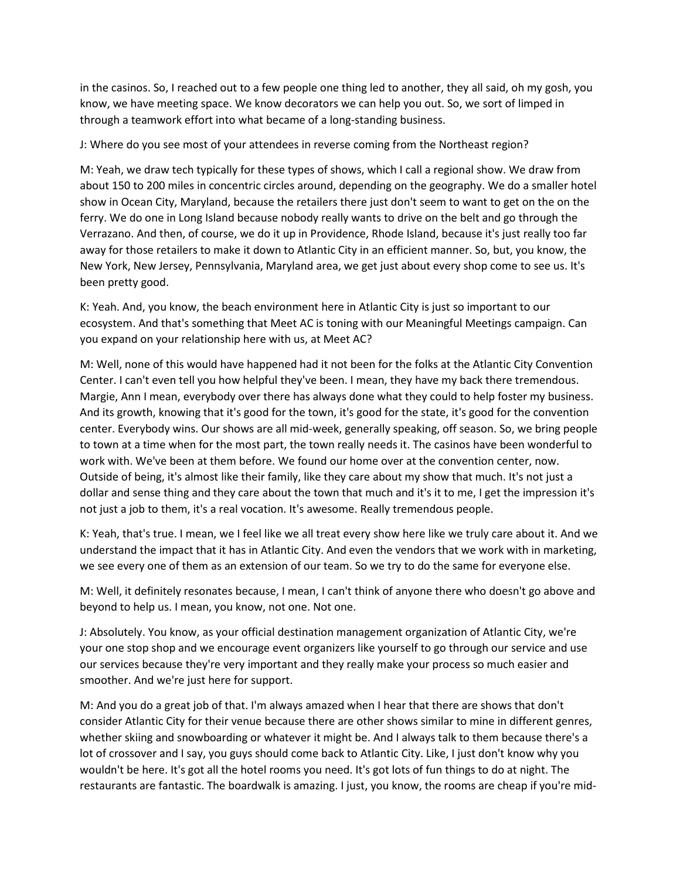in the casinos. So, I reached out to a few people one thing led to another, they all said, oh my gosh, you know, we have meeting space. We know decorators we can help you out. So, we sort of limped in through a teamwork effort into what became of a long-standing business.

J: Where do you see most of your attendees in reverse coming from the Northeast region?

M: Yeah, we draw tech typically for these types of shows, which I call a regional show. We draw from about 150 to 200 miles in concentric circles around, depending on the geography. We do a smaller hotel show in Ocean City, Maryland, because the retailers there just don't seem to want to get on the on the ferry. We do one in Long Island because nobody really wants to drive on the belt and go through the Verrazano. And then, of course, we do it up in Providence, Rhode Island, because it's just really too far away for those retailers to make it down to Atlantic City in an efficient manner. So, but, you know, the New York, New Jersey, Pennsylvania, Maryland area, we get just about every shop come to see us. It's been pretty good.

K: Yeah. And, you know, the beach environment here in Atlantic City is just so important to our ecosystem. And that's something that Meet AC is toning with our Meaningful Meetings campaign. Can you expand on your relationship here with us, at Meet AC?

M: Well, none of this would have happened had it not been for the folks at the Atlantic City Convention Center. I can't even tell you how helpful they've been. I mean, they have my back there tremendous. Margie, Ann I mean, everybody over there has always done what they could to help foster my business. And its growth, knowing that it's good for the town, it's good for the state, it's good for the convention center. Everybody wins. Our shows are all mid-week, generally speaking, off season. So, we bring people to town at a time when for the most part, the town really needs it. The casinos have been wonderful to work with. We've been at them before. We found our home over at the convention center, now. Outside of being, it's almost like their family, like they care about my show that much. It's not just a dollar and sense thing and they care about the town that much and it's it to me, I get the impression it's not just a job to them, it's a real vocation. It's awesome. Really tremendous people.

K: Yeah, that's true. I mean, we I feel like we all treat every show here like we truly care about it. And we understand the impact that it has in Atlantic City. And even the vendors that we work with in marketing, we see every one of them as an extension of our team. So we try to do the same for everyone else.

M: Well, it definitely resonates because, I mean, I can't think of anyone there who doesn't go above and beyond to help us. I mean, you know, not one. Not one.

J: Absolutely. You know, as your official destination management organization of Atlantic City, we're your one stop shop and we encourage event organizers like yourself to go through our service and use our services because they're very important and they really make your process so much easier and smoother. And we're just here for support.

M: And you do a great job of that. I'm always amazed when I hear that there are shows that don't consider Atlantic City for their venue because there are other shows similar to mine in different genres, whether skiing and snowboarding or whatever it might be. And I always talk to them because there's a lot of crossover and I say, you guys should come back to Atlantic City. Like, I just don't know why you wouldn't be here. It's got all the hotel rooms you need. It's got lots of fun things to do at night. The restaurants are fantastic. The boardwalk is amazing. I just, you know, the rooms are cheap if you're mid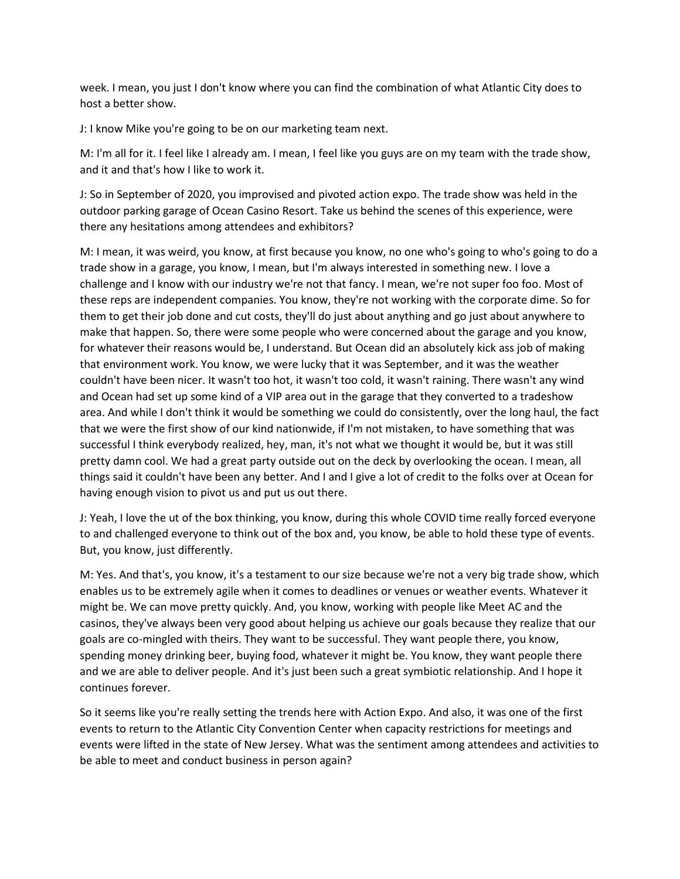week. I mean, you just I don't know where you can find the combination of what Atlantic City does to host a better show.

J: I know Mike you're going to be on our marketing team next.

M: I'm all for it. I feel like I already am. I mean, I feel like you guys are on my team with the trade show, and it and that's how I like to work it.

J: So in September of 2020, you improvised and pivoted action expo. The trade show was held in the outdoor parking garage of Ocean Casino Resort. Take us behind the scenes of this experience, were there any hesitations among attendees and exhibitors?

M: I mean, it was weird, you know, at first because you know, no one who's going to who's going to do a trade show in a garage, you know, I mean, but I'm always interested in something new. I love a challenge and I know with our industry we're not that fancy. I mean, we're not super foo foo. Most of these reps are independent companies. You know, they're not working with the corporate dime. So for them to get their job done and cut costs, they'll do just about anything and go just about anywhere to make that happen. So, there were some people who were concerned about the garage and you know, for whatever their reasons would be, I understand. But Ocean did an absolutely kick ass job of making that environment work. You know, we were lucky that it was September, and it was the weather couldn't have been nicer. It wasn't too hot, it wasn't too cold, it wasn't raining. There wasn't any wind and Ocean had set up some kind of a VIP area out in the garage that they converted to a tradeshow area. And while I don't think it would be something we could do consistently, over the long haul, the fact that we were the first show of our kind nationwide, if I'm not mistaken, to have something that was successful I think everybody realized, hey, man, it's not what we thought it would be, but it was still pretty damn cool. We had a great party outside out on the deck by overlooking the ocean. I mean, all things said it couldn't have been any better. And I and I give a lot of credit to the folks over at Ocean for having enough vision to pivot us and put us out there.

J: Yeah, I love the ut of the box thinking, you know, during this whole COVID time really forced everyone to and challenged everyone to think out of the box and, you know, be able to hold these type of events. But, you know, just differently.

M: Yes. And that's, you know, it's a testament to our size because we're not a very big trade show, which enables us to be extremely agile when it comes to deadlines or venues or weather events. Whatever it might be. We can move pretty quickly. And, you know, working with people like Meet AC and the casinos, they've always been very good about helping us achieve our goals because they realize that our goals are co-mingled with theirs. They want to be successful. They want people there, you know, spending money drinking beer, buying food, whatever it might be. You know, they want people there and we are able to deliver people. And it's just been such a great symbiotic relationship. And I hope it continues forever.

So it seems like you're really setting the trends here with Action Expo. And also, it was one of the first events to return to the Atlantic City Convention Center when capacity restrictions for meetings and events were lifted in the state of New Jersey. What was the sentiment among attendees and activities to be able to meet and conduct business in person again?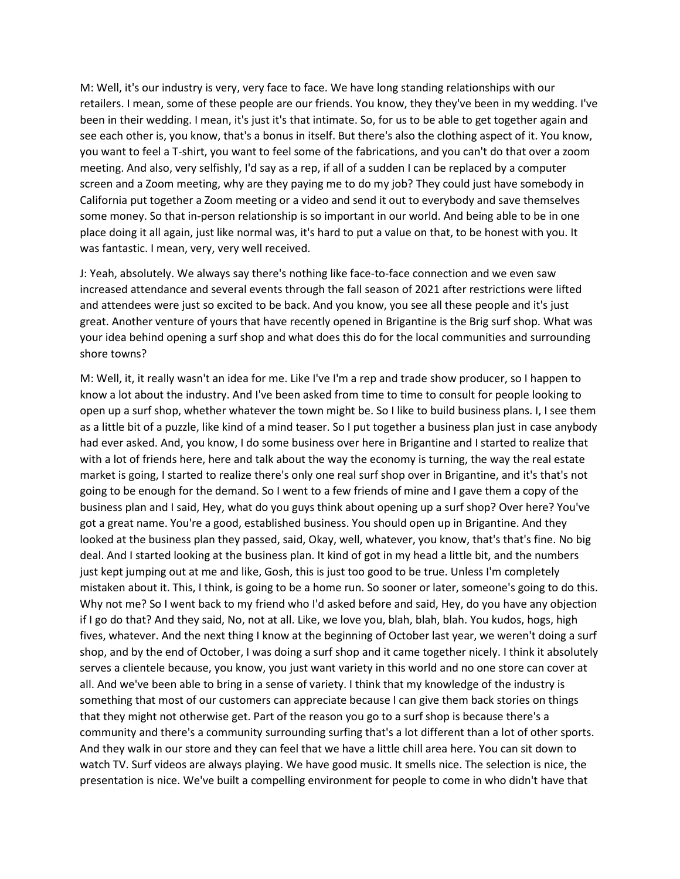M: Well, it's our industry is very, very face to face. We have long standing relationships with our retailers. I mean, some of these people are our friends. You know, they they've been in my wedding. I've been in their wedding. I mean, it's just it's that intimate. So, for us to be able to get together again and see each other is, you know, that's a bonus in itself. But there's also the clothing aspect of it. You know, you want to feel a T-shirt, you want to feel some of the fabrications, and you can't do that over a zoom meeting. And also, very selfishly, I'd say as a rep, if all of a sudden I can be replaced by a computer screen and a Zoom meeting, why are they paying me to do my job? They could just have somebody in California put together a Zoom meeting or a video and send it out to everybody and save themselves some money. So that in-person relationship is so important in our world. And being able to be in one place doing it all again, just like normal was, it's hard to put a value on that, to be honest with you. It was fantastic. I mean, very, very well received.

J: Yeah, absolutely. We always say there's nothing like face-to-face connection and we even saw increased attendance and several events through the fall season of 2021 after restrictions were lifted and attendees were just so excited to be back. And you know, you see all these people and it's just great. Another venture of yours that have recently opened in Brigantine is the Brig surf shop. What was your idea behind opening a surf shop and what does this do for the local communities and surrounding shore towns?

M: Well, it, it really wasn't an idea for me. Like I've I'm a rep and trade show producer, so I happen to know a lot about the industry. And I've been asked from time to time to consult for people looking to open up a surf shop, whether whatever the town might be. So I like to build business plans. I, I see them as a little bit of a puzzle, like kind of a mind teaser. So I put together a business plan just in case anybody had ever asked. And, you know, I do some business over here in Brigantine and I started to realize that with a lot of friends here, here and talk about the way the economy is turning, the way the real estate market is going, I started to realize there's only one real surf shop over in Brigantine, and it's that's not going to be enough for the demand. So I went to a few friends of mine and I gave them a copy of the business plan and I said, Hey, what do you guys think about opening up a surf shop? Over here? You've got a great name. You're a good, established business. You should open up in Brigantine. And they looked at the business plan they passed, said, Okay, well, whatever, you know, that's that's fine. No big deal. And I started looking at the business plan. It kind of got in my head a little bit, and the numbers just kept jumping out at me and like, Gosh, this is just too good to be true. Unless I'm completely mistaken about it. This, I think, is going to be a home run. So sooner or later, someone's going to do this. Why not me? So I went back to my friend who I'd asked before and said, Hey, do you have any objection if I go do that? And they said, No, not at all. Like, we love you, blah, blah, blah. You kudos, hogs, high fives, whatever. And the next thing I know at the beginning of October last year, we weren't doing a surf shop, and by the end of October, I was doing a surf shop and it came together nicely. I think it absolutely serves a clientele because, you know, you just want variety in this world and no one store can cover at all. And we've been able to bring in a sense of variety. I think that my knowledge of the industry is something that most of our customers can appreciate because I can give them back stories on things that they might not otherwise get. Part of the reason you go to a surf shop is because there's a community and there's a community surrounding surfing that's a lot different than a lot of other sports. And they walk in our store and they can feel that we have a little chill area here. You can sit down to watch TV. Surf videos are always playing. We have good music. It smells nice. The selection is nice, the presentation is nice. We've built a compelling environment for people to come in who didn't have that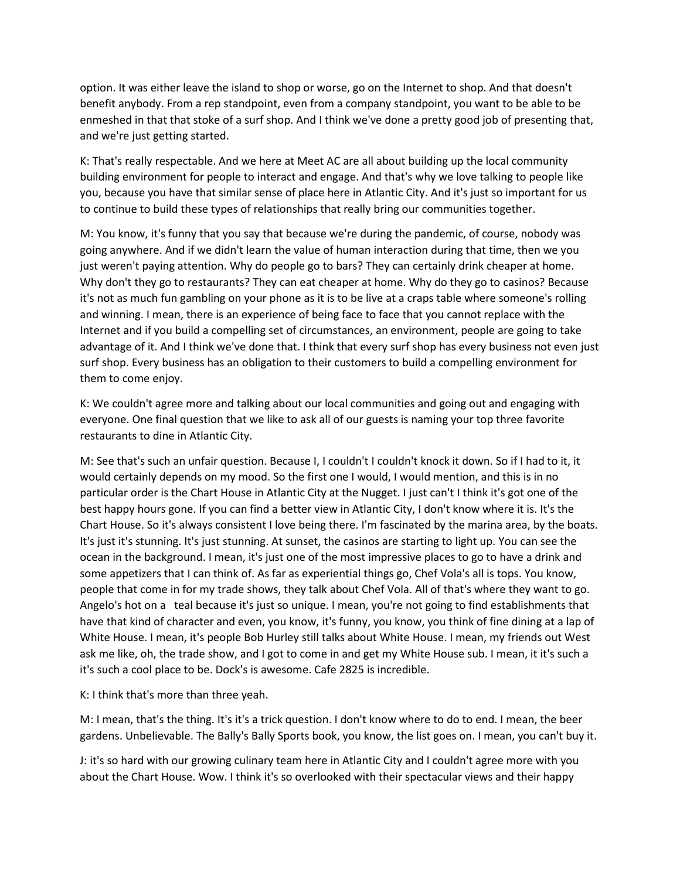option. It was either leave the island to shop or worse, go on the Internet to shop. And that doesn't benefit anybody. From a rep standpoint, even from a company standpoint, you want to be able to be enmeshed in that that stoke of a surf shop. And I think we've done a pretty good job of presenting that, and we're just getting started.

K: That's really respectable. And we here at Meet AC are all about building up the local community building environment for people to interact and engage. And that's why we love talking to people like you, because you have that similar sense of place here in Atlantic City. And it's just so important for us to continue to build these types of relationships that really bring our communities together.

M: You know, it's funny that you say that because we're during the pandemic, of course, nobody was going anywhere. And if we didn't learn the value of human interaction during that time, then we you just weren't paying attention. Why do people go to bars? They can certainly drink cheaper at home. Why don't they go to restaurants? They can eat cheaper at home. Why do they go to casinos? Because it's not as much fun gambling on your phone as it is to be live at a craps table where someone's rolling and winning. I mean, there is an experience of being face to face that you cannot replace with the Internet and if you build a compelling set of circumstances, an environment, people are going to take advantage of it. And I think we've done that. I think that every surf shop has every business not even just surf shop. Every business has an obligation to their customers to build a compelling environment for them to come enjoy.

K: We couldn't agree more and talking about our local communities and going out and engaging with everyone. One final question that we like to ask all of our guests is naming your top three favorite restaurants to dine in Atlantic City.

M: See that's such an unfair question. Because I, I couldn't I couldn't knock it down. So if I had to it, it would certainly depends on my mood. So the first one I would, I would mention, and this is in no particular order is the Chart House in Atlantic City at the Nugget. I just can't I think it's got one of the best happy hours gone. If you can find a better view in Atlantic City, I don't know where it is. It's the Chart House. So it's always consistent I love being there. I'm fascinated by the marina area, by the boats. It's just it's stunning. It's just stunning. At sunset, the casinos are starting to light up. You can see the ocean in the background. I mean, it's just one of the most impressive places to go to have a drink and some appetizers that I can think of. As far as experiential things go, Chef Vola's all is tops. You know, people that come in for my trade shows, they talk about Chef Vola. All of that's where they want to go. Angelo's hot on a teal because it's just so unique. I mean, you're not going to find establishments that have that kind of character and even, you know, it's funny, you know, you think of fine dining at a lap of White House. I mean, it's people Bob Hurley still talks about White House. I mean, my friends out West ask me like, oh, the trade show, and I got to come in and get my White House sub. I mean, it it's such a it's such a cool place to be. Dock's is awesome. Cafe 2825 is incredible.

## K: I think that's more than three yeah.

M: I mean, that's the thing. It's it's a trick question. I don't know where to do to end. I mean, the beer gardens. Unbelievable. The Bally's Bally Sports book, you know, the list goes on. I mean, you can't buy it.

J: it's so hard with our growing culinary team here in Atlantic City and I couldn't agree more with you about the Chart House. Wow. I think it's so overlooked with their spectacular views and their happy